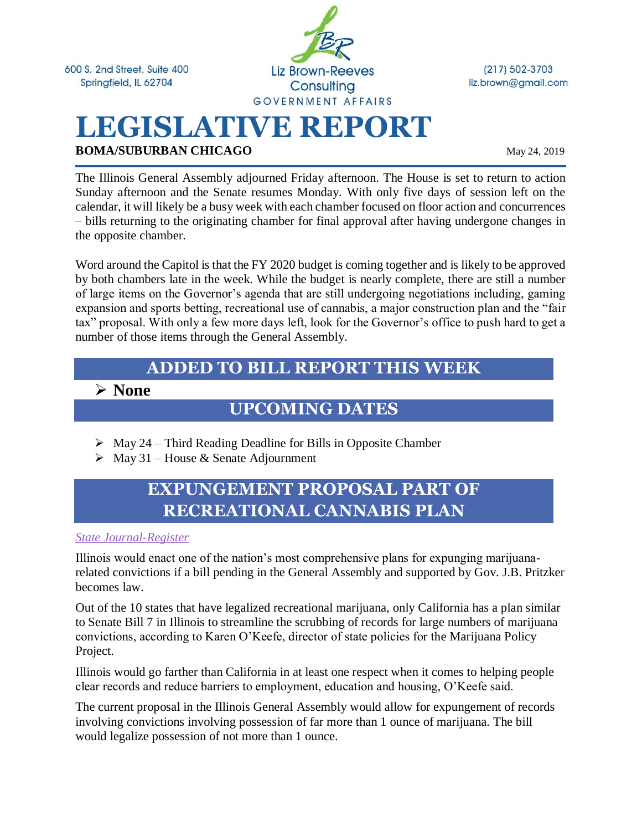600 S. 2nd Street, Suite 400 Springfield, IL 62704



 $(217) 502 - 3703$ liz.brown@gmail.com

# **LEGISLATIVE REPORT BOMA/SUBURBAN CHICAGO** May 24, 2019

The Illinois General Assembly adjourned Friday afternoon. The House is set to return to action Sunday afternoon and the Senate resumes Monday. With only five days of session left on the calendar, it will likely be a busy week with each chamber focused on floor action and concurrences – bills returning to the originating chamber for final approval after having undergone changes in the opposite chamber.

Word around the Capitol is that the FY 2020 budget is coming together and is likely to be approved by both chambers late in the week. While the budget is nearly complete, there are still a number of large items on the Governor's agenda that are still undergoing negotiations including, gaming expansion and sports betting, recreational use of cannabis, a major construction plan and the "fair tax" proposal. With only a few more days left, look for the Governor's office to push hard to get a number of those items through the General Assembly.

#### **ADDED TO BILL REPORT THIS WEEK**

#### ➢ **None**

#### **UPCOMING DATES**

- $\triangleright$  May 24 Third Reading Deadline for Bills in Opposite Chamber
- $\triangleright$  May 31 House & Senate Adjournment

## **EXPUNGEMENT PROPOSAL PART OF RECREATIONAL CANNABIS PLAN**

*[State Journal-Register](https://www.sj-r.com/news/20190518/illinois-expungement-proposal-for-pot-convictions-one-of-nations-broadest)*

Illinois would enact one of the nation's most comprehensive plans for expunging marijuanarelated convictions if a bill pending in the General Assembly and supported by Gov. J.B. Pritzker becomes law.

Out of the 10 states that have legalized recreational marijuana, only California has a plan similar to Senate Bill 7 in Illinois to streamline the scrubbing of records for large numbers of marijuana convictions, according to Karen O'Keefe, director of state policies for the Marijuana Policy Project.

Illinois would go farther than California in at least one respect when it comes to helping people clear records and reduce barriers to employment, education and housing, O'Keefe said.

The current proposal in the Illinois General Assembly would allow for expungement of records involving convictions involving possession of far more than 1 ounce of marijuana. The bill would legalize possession of not more than 1 ounce.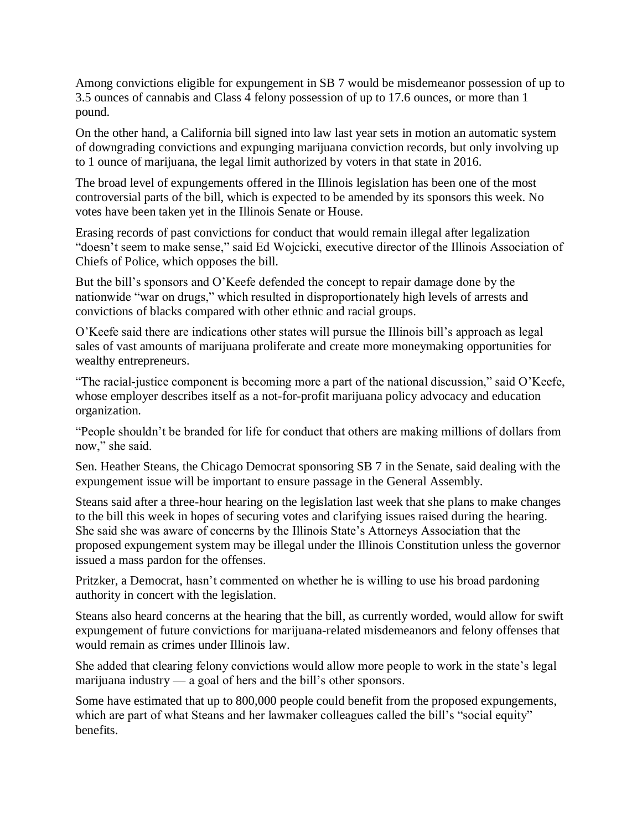Among convictions eligible for expungement in SB 7 would be misdemeanor possession of up to 3.5 ounces of cannabis and Class 4 felony possession of up to 17.6 ounces, or more than 1 pound.

On the other hand, a California bill signed into law last year sets in motion an automatic system of downgrading convictions and expunging marijuana conviction records, but only involving up to 1 ounce of marijuana, the legal limit authorized by voters in that state in 2016.

The broad level of expungements offered in the Illinois legislation has been one of the most controversial parts of the bill, which is expected to be amended by its sponsors this week. No votes have been taken yet in the Illinois Senate or House.

Erasing records of past convictions for conduct that would remain illegal after legalization "doesn't seem to make sense," said Ed Wojcicki, executive director of the Illinois Association of Chiefs of Police, which opposes the bill.

But the bill's sponsors and O'Keefe defended the concept to repair damage done by the nationwide "war on drugs," which resulted in disproportionately high levels of arrests and convictions of blacks compared with other ethnic and racial groups.

O'Keefe said there are indications other states will pursue the Illinois bill's approach as legal sales of vast amounts of marijuana proliferate and create more moneymaking opportunities for wealthy entrepreneurs.

"The racial-justice component is becoming more a part of the national discussion," said O'Keefe, whose employer describes itself as a not-for-profit marijuana policy advocacy and education organization.

"People shouldn't be branded for life for conduct that others are making millions of dollars from now," she said.

Sen. Heather Steans, the Chicago Democrat sponsoring SB 7 in the Senate, said dealing with the expungement issue will be important to ensure passage in the General Assembly.

Steans said after a three-hour hearing on the legislation last week that she plans to make changes to the bill this week in hopes of securing votes and clarifying issues raised during the hearing. She said she was aware of concerns by the Illinois State's Attorneys Association that the proposed expungement system may be illegal under the Illinois Constitution unless the governor issued a mass pardon for the offenses.

Pritzker, a Democrat, hasn't commented on whether he is willing to use his broad pardoning authority in concert with the legislation.

Steans also heard concerns at the hearing that the bill, as currently worded, would allow for swift expungement of future convictions for marijuana-related misdemeanors and felony offenses that would remain as crimes under Illinois law.

She added that clearing felony convictions would allow more people to work in the state's legal marijuana industry — a goal of hers and the bill's other sponsors.

Some have estimated that up to 800,000 people could benefit from the proposed expungements, which are part of what Steans and her lawmaker colleagues called the bill's "social equity" benefits.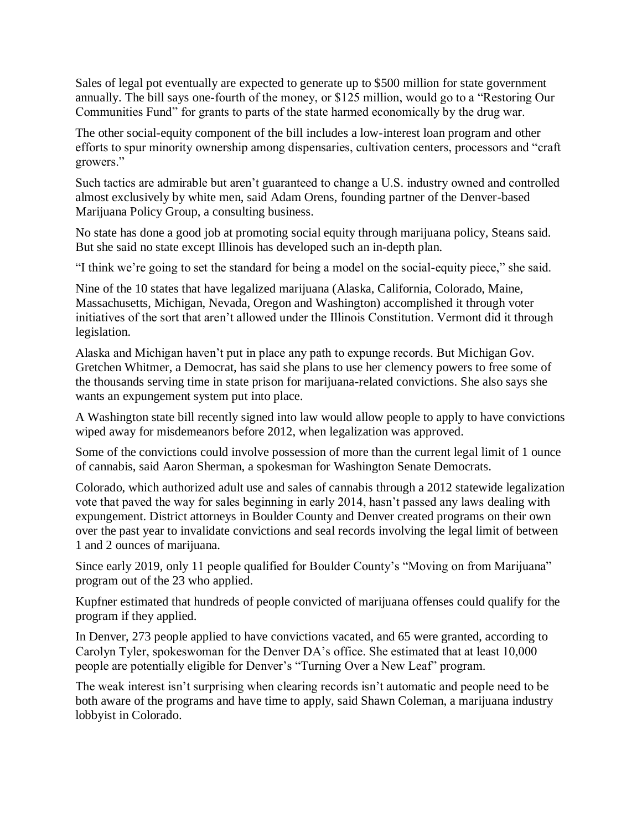Sales of legal pot eventually are expected to generate up to \$500 million for state government annually. The bill says one-fourth of the money, or \$125 million, would go to a "Restoring Our Communities Fund" for grants to parts of the state harmed economically by the drug war.

The other social-equity component of the bill includes a low-interest loan program and other efforts to spur minority ownership among dispensaries, cultivation centers, processors and "craft growers."

Such tactics are admirable but aren't guaranteed to change a U.S. industry owned and controlled almost exclusively by white men, said Adam Orens, founding partner of the Denver-based Marijuana Policy Group, a consulting business.

No state has done a good job at promoting social equity through marijuana policy, Steans said. But she said no state except Illinois has developed such an in-depth plan.

"I think we're going to set the standard for being a model on the social-equity piece," she said.

Nine of the 10 states that have legalized marijuana (Alaska, California, Colorado, Maine, Massachusetts, Michigan, Nevada, Oregon and Washington) accomplished it through voter initiatives of the sort that aren't allowed under the Illinois Constitution. Vermont did it through legislation.

Alaska and Michigan haven't put in place any path to expunge records. But Michigan Gov. Gretchen Whitmer, a Democrat, has said she plans to use her clemency powers to free some of the thousands serving time in state prison for marijuana-related convictions. She also says she wants an expungement system put into place.

A Washington state bill recently signed into law would allow people to apply to have convictions wiped away for misdemeanors before 2012, when legalization was approved.

Some of the convictions could involve possession of more than the current legal limit of 1 ounce of cannabis, said Aaron Sherman, a spokesman for Washington Senate Democrats.

Colorado, which authorized adult use and sales of cannabis through a 2012 statewide legalization vote that paved the way for sales beginning in early 2014, hasn't passed any laws dealing with expungement. District attorneys in Boulder County and Denver created programs on their own over the past year to invalidate convictions and seal records involving the legal limit of between 1 and 2 ounces of marijuana.

Since early 2019, only 11 people qualified for Boulder County's "Moving on from Marijuana" program out of the 23 who applied.

Kupfner estimated that hundreds of people convicted of marijuana offenses could qualify for the program if they applied.

In Denver, 273 people applied to have convictions vacated, and 65 were granted, according to Carolyn Tyler, spokeswoman for the Denver DA's office. She estimated that at least 10,000 people are potentially eligible for Denver's "Turning Over a New Leaf" program.

The weak interest isn't surprising when clearing records isn't automatic and people need to be both aware of the programs and have time to apply, said Shawn Coleman, a marijuana industry lobbyist in Colorado.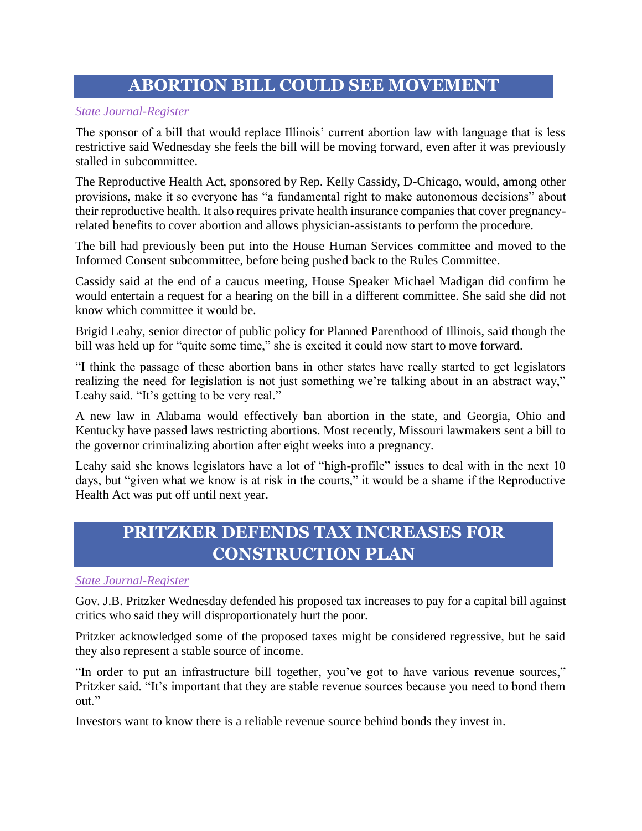### **ABORTION BILL COULD SEE MOVEMENT**

#### *[State Journal-Register](https://www.sj-r.com/news/20190522/abortion-bill-could-see-movement-at-statehouse)*

The sponsor of a bill that would replace Illinois' current abortion law with language that is less restrictive said Wednesday she feels the bill will be moving forward, even after it was previously stalled in subcommittee.

The Reproductive Health Act, sponsored by Rep. Kelly Cassidy, D-Chicago, would, among other provisions, make it so everyone has "a fundamental right to make autonomous decisions" about their reproductive health. It also requires private health insurance companies that cover pregnancyrelated benefits to cover abortion and allows physician-assistants to perform the procedure.

The bill had previously been put into the House Human Services committee and moved to the Informed Consent subcommittee, before being pushed back to the Rules Committee.

Cassidy said at the end of a caucus meeting, House Speaker Michael Madigan did confirm he would entertain a request for a hearing on the bill in a different committee. She said she did not know which committee it would be.

Brigid Leahy, senior director of public policy for Planned Parenthood of Illinois, said though the bill was held up for "quite some time," she is excited it could now start to move forward.

"I think the passage of these abortion bans in other states have really started to get legislators realizing the need for legislation is not just something we're talking about in an abstract way," Leahy said. "It's getting to be very real."

A new law in Alabama would effectively ban abortion in the state, and Georgia, Ohio and Kentucky have passed laws restricting abortions. Most recently, Missouri lawmakers sent a bill to the governor criminalizing abortion after eight weeks into a pregnancy.

Leahy said she knows legislators have a lot of "high-profile" issues to deal with in the next 10 days, but "given what we know is at risk in the courts," it would be a shame if the Reproductive Health Act was put off until next year.

# **PRITZKER DEFENDS TAX INCREASES FOR CONSTRUCTION PLAN**

#### *[State Journal-Register](https://www.sj-r.com/news/20190522/pritzker-defends-tax-increases-for-capital-bill)*

Gov. J.B. Pritzker Wednesday defended his proposed tax increases to pay for a capital bill against critics who said they will disproportionately hurt the poor.

Pritzker acknowledged some of the proposed taxes might be considered regressive, but he said they also represent a stable source of income.

"In order to put an infrastructure bill together, you've got to have various revenue sources," Pritzker said. "It's important that they are stable revenue sources because you need to bond them out."

Investors want to know there is a reliable revenue source behind bonds they invest in.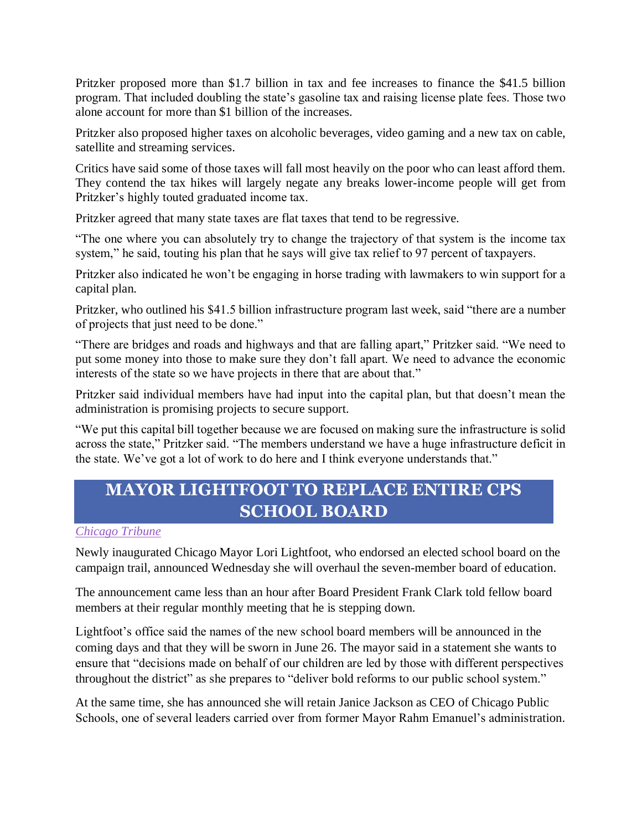Pritzker proposed more than \$1.7 billion in tax and fee increases to finance the \$41.5 billion program. That included doubling the state's gasoline tax and raising license plate fees. Those two alone account for more than \$1 billion of the increases.

Pritzker also proposed higher taxes on alcoholic beverages, video gaming and a new tax on cable, satellite and streaming services.

Critics have said some of those taxes will fall most heavily on the poor who can least afford them. They contend the tax hikes will largely negate any breaks lower-income people will get from Pritzker's highly touted graduated income tax.

Pritzker agreed that many state taxes are flat taxes that tend to be regressive.

"The one where you can absolutely try to change the trajectory of that system is the income tax system," he said, touting his plan that he says will give tax relief to 97 percent of taxpayers.

Pritzker also indicated he won't be engaging in horse trading with lawmakers to win support for a capital plan.

Pritzker, who outlined his \$41.5 billion infrastructure program last week, said "there are a number of projects that just need to be done."

"There are bridges and roads and highways and that are falling apart," Pritzker said. "We need to put some money into those to make sure they don't fall apart. We need to advance the economic interests of the state so we have projects in there that are about that."

Pritzker said individual members have had input into the capital plan, but that doesn't mean the administration is promising projects to secure support.

"We put this capital bill together because we are focused on making sure the infrastructure is solid across the state," Pritzker said. "The members understand we have a huge infrastructure deficit in the state. We've got a lot of work to do here and I think everyone understands that."

### **MAYOR LIGHTFOOT TO REPLACE ENTIRE CPS SCHOOL BOARD**

*[Chicago Tribune](https://www.chicagotribune.com/politics/ct-met-chicago-board-of-education-20190522-story.html)*

Newly inaugurated Chicago Mayor Lori Lightfoot, who endorsed an elected school board on the campaign trail, announced Wednesday she will overhaul the seven-member board of education.

The announcement came less than an hour after Board President Frank Clark told fellow board members at their regular monthly meeting that he is stepping down.

Lightfoot's office said the names of the new school board members will be announced in the coming days and that they will be sworn in June 26. The mayor said in a statement she wants to ensure that "decisions made on behalf of our children are led by those with different perspectives throughout the district" as she prepares to "deliver bold reforms to our public school system."

At the same time, she has announced she will retain Janice Jackson as CEO of Chicago Public Schools, one of several leaders carried over from former Mayor Rahm Emanuel's administration.